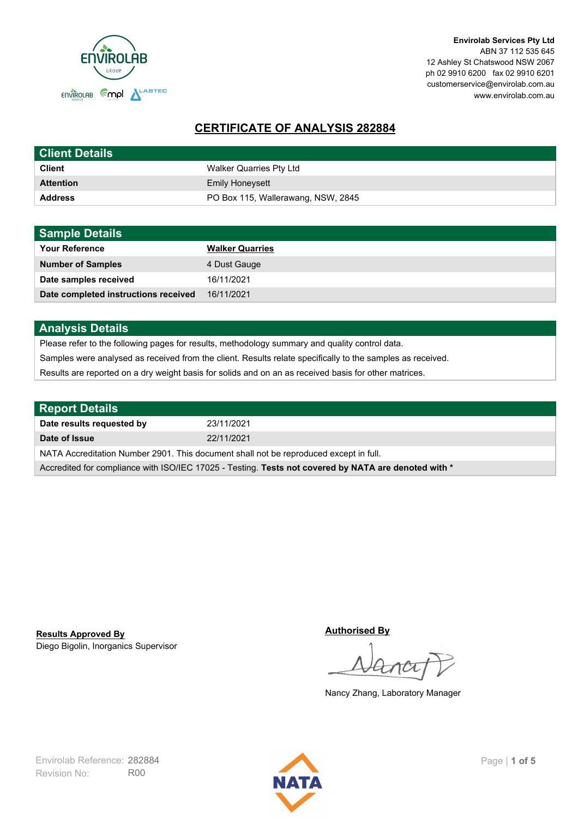

**Envirolab Services Pty Ltd** ABN 37 112 535 645 12 Ashley St Chatswood NSW 2067 ph 02 9910 6200 fax 02 9910 6201 customerservice@envirolab.com.au www.envirolab.com.au

# **CERTIFICATE OF ANALYSIS 282884**

| <b>Client Details</b> |                                    |
|-----------------------|------------------------------------|
| <b>Client</b>         | Walker Quarries Pty Ltd            |
| <b>Attention</b>      | <b>Emily Honeysett</b>             |
| <b>Address</b>        | PO Box 115, Wallerawang, NSW, 2845 |

| <b>Sample Details</b>                |                        |
|--------------------------------------|------------------------|
| <b>Your Reference</b>                | <b>Walker Quarries</b> |
| <b>Number of Samples</b>             | 4 Dust Gauge           |
| Date samples received                | 16/11/2021             |
| Date completed instructions received | 16/11/2021             |

## **Analysis Details**

Please refer to the following pages for results, methodology summary and quality control data.

Samples were analysed as received from the client. Results relate specifically to the samples as received.

Results are reported on a dry weight basis for solids and on an as received basis for other matrices.

| <b>Report Details</b>                                                                                |            |  |
|------------------------------------------------------------------------------------------------------|------------|--|
| Date results requested by                                                                            | 23/11/2021 |  |
| Date of Issue                                                                                        | 22/11/2021 |  |
| NATA Accreditation Number 2901. This document shall not be reproduced except in full.                |            |  |
| Accredited for compliance with ISO/IEC 17025 - Testing. Tests not covered by NATA are denoted with * |            |  |

Diego Bigolin, Inorganics Supervisor **Results Approved By**

**Authorised By**

Nancy Zhang, Laboratory Manager

Revision No: R00 Envirolab Reference: 282884 Page | 1 of 5

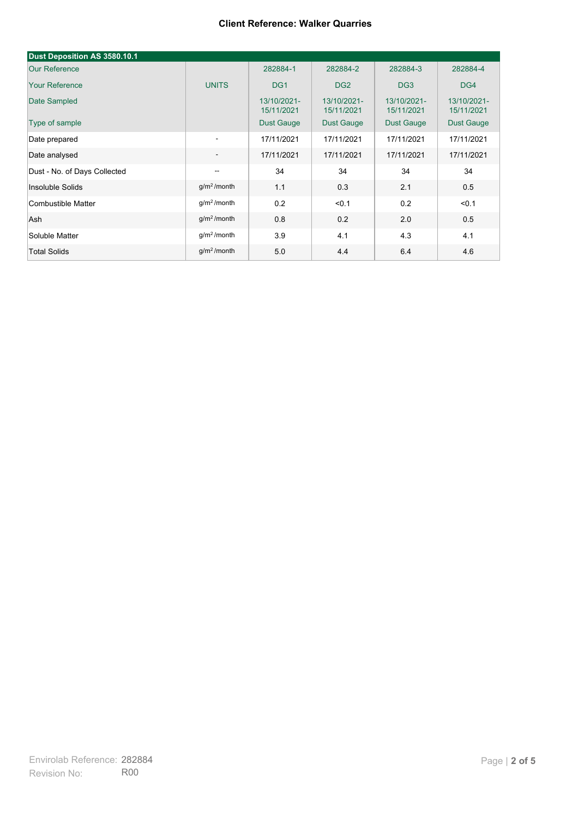| Dust Deposition AS 3580.10.1 |                          |                           |                           |                           |                           |
|------------------------------|--------------------------|---------------------------|---------------------------|---------------------------|---------------------------|
| <b>Our Reference</b>         |                          | 282884-1                  | 282884-2                  | 282884-3                  | 282884-4                  |
| <b>Your Reference</b>        | <b>UNITS</b>             | DG <sub>1</sub>           | DG <sub>2</sub>           | DG <sub>3</sub>           | DG4                       |
| Date Sampled                 |                          | 13/10/2021-<br>15/11/2021 | 13/10/2021-<br>15/11/2021 | 13/10/2021-<br>15/11/2021 | 13/10/2021-<br>15/11/2021 |
| Type of sample               |                          | <b>Dust Gauge</b>         | <b>Dust Gauge</b>         | <b>Dust Gauge</b>         | Dust Gauge                |
| Date prepared                | $\overline{\phantom{a}}$ | 17/11/2021                | 17/11/2021                | 17/11/2021                | 17/11/2021                |
| Date analysed                | $\overline{\phantom{a}}$ | 17/11/2021                | 17/11/2021                | 17/11/2021                | 17/11/2021                |
| Dust - No. of Days Collected | $\overline{\phantom{a}}$ | 34                        | 34                        | 34                        | 34                        |
| Insoluble Solids             | g/m <sup>2</sup> /month  | 1.1                       | 0.3                       | 2.1                       | 0.5                       |
| Combustible Matter           | $q/m2$ /month            | 0.2                       | < 0.1                     | 0.2                       | < 0.1                     |
| Ash                          | g/m <sup>2</sup> /month  | 0.8                       | 0.2                       | 2.0                       | 0.5                       |
| Soluble Matter               | g/m <sup>2</sup> /month  | 3.9                       | 4.1                       | 4.3                       | 4.1                       |
| <b>Total Solids</b>          | g/m <sup>2</sup> /month  | 5.0                       | 4.4                       | 6.4                       | 4.6                       |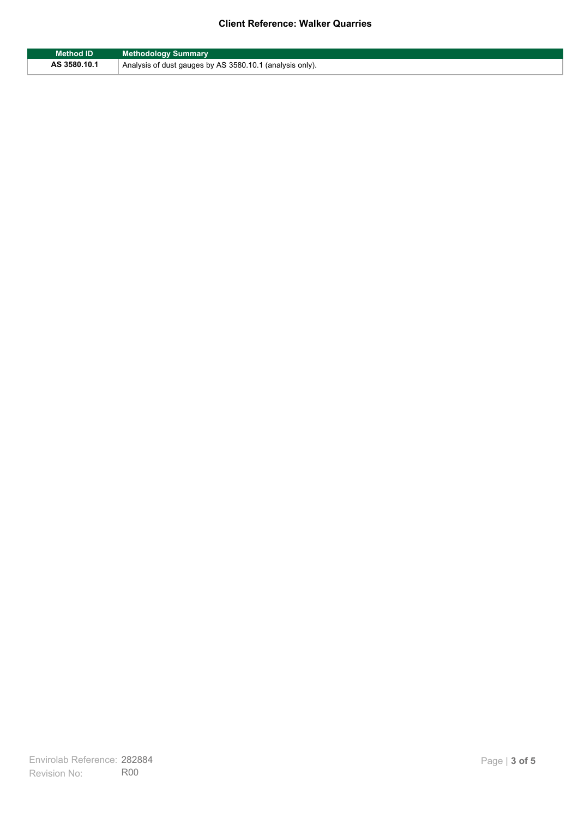| <b>Method ID</b> | <b>Methodology Summary</b>                               |
|------------------|----------------------------------------------------------|
| AS 3580.10.1     | Analysis of dust gauges by AS 3580.10.1 (analysis only). |

F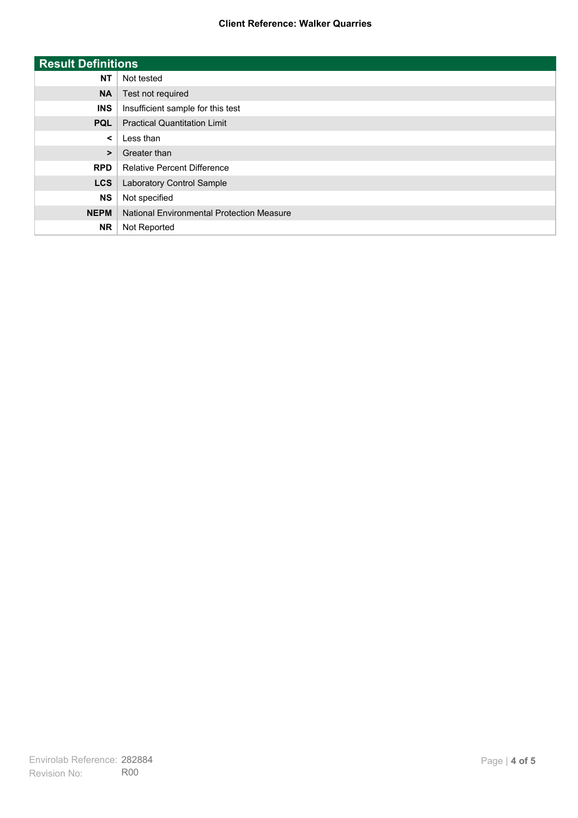| <b>Result Definitions</b> |                                           |
|---------------------------|-------------------------------------------|
| <b>NT</b>                 | Not tested                                |
| <b>NA</b>                 | Test not required                         |
| <b>INS</b>                | Insufficient sample for this test         |
| <b>PQL</b>                | <b>Practical Quantitation Limit</b>       |
| $\prec$                   | Less than                                 |
| $\geq$                    | Greater than                              |
| <b>RPD</b>                | <b>Relative Percent Difference</b>        |
| <b>LCS</b>                | Laboratory Control Sample                 |
| <b>NS</b>                 | Not specified                             |
| <b>NEPM</b>               | National Environmental Protection Measure |
| <b>NR</b>                 | Not Reported                              |